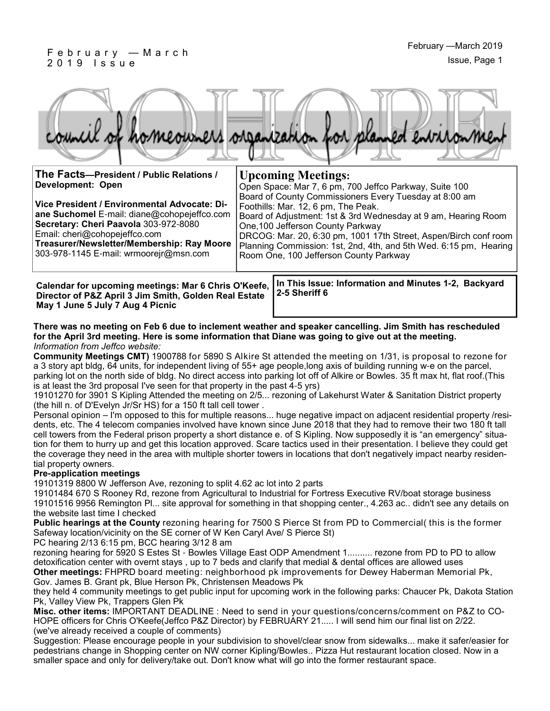#### F e b r u a r y — M a r c h 2 0 1 9 I s s u e



| The Facts-President / Public Relations /<br><b>Development: Open</b><br>Vice President / Environmental Advocate: Di-<br>ane Suchomel E-mail: diane@cohopejeffco.com<br>Secretary: Cheri Paavola 303-972-8080<br>Email: cheri@cohopejeffco.com<br>Treasurer/Newsletter/Membership: Ray Moore<br>303-978-1145 E-mail: wrmoorejr@msn.com | <b>Upcoming Meetings:</b><br>Open Space: Mar 7, 6 pm, 700 Jeffco Parkway, Suite 100<br>Board of County Commissioners Every Tuesday at 8:00 am<br>Foothills: Mar. 12, 6 pm, The Peak.<br>Board of Adjustment: 1st & 3rd Wednesday at 9 am, Hearing Room<br>One, 100 Jefferson County Parkway<br>DRCOG: Mar. 20, 6:30 pm, 1001 17th Street, Aspen/Birch conf room<br>Planning Commission: 1st, 2nd, 4th, and 5th Wed. 6:15 pm, Hearing<br>Room One, 100 Jefferson County Parkway |  |
|---------------------------------------------------------------------------------------------------------------------------------------------------------------------------------------------------------------------------------------------------------------------------------------------------------------------------------------|--------------------------------------------------------------------------------------------------------------------------------------------------------------------------------------------------------------------------------------------------------------------------------------------------------------------------------------------------------------------------------------------------------------------------------------------------------------------------------|--|
| To This Issued Information and Minutes 4.0. Dealersed.                                                                                                                                                                                                                                                                                |                                                                                                                                                                                                                                                                                                                                                                                                                                                                                |  |

**Director of P&Z April 3 Jim Smith, Golden Real Estate May 1 June 5 July 7 Aug 4 Picnic**

Calendar for upcoming meetings: Mar 6 Chris O'Keefe, |In This Issue: Information and Minutes 1-2, Backyard **2-5 Sheriff 6**

#### **There was no meeting on Feb 6 due to inclement weather and speaker cancelling. Jim Smith has rescheduled for the April 3rd meeting. Here is some information that Diane was going to give out at the meeting.**  *Information from Jeffco website:*

**Community Meetings CMT)** 1900788 for 5890 S Alkire St attended the meeting on 1/31, is proposal to rezone for a 3 story apt bldg, 64 units, for independent living of 55+ age people,long axis of building running w-e on the parcel, parking lot on the north side of bldg. No direct access into parking lot off of Alkire or Bowles. 35 ft max ht, flat roof.(This is at least the 3rd proposal I've seen for that property in the past 4-5 yrs)

19101270 for 3901 S Kipling Attended the meeting on 2/5... rezoning of Lakehurst Water & Sanitation District property (the hill n. of D'Evelyn Jr/Sr HS) for a 150 ft tall cell tower .

Personal opinion – I'm opposed to this for multiple reasons... huge negative impact on adjacent residential property /residents, etc. The 4 telecom companies involved have known since June 2018 that they had to remove their two 180 ft tall cell towers from the Federal prison property a short distance e. of S Kipling. Now supposedly it is "an emergency" situation for them to hurry up and get this location approved. Scare tactics used in their presentation. I believe they could get the coverage they need in the area with multiple shorter towers in locations that don't negatively impact nearby residential property owners.

#### **Pre-application meetings**

19101319 8800 W Jefferson Ave, rezoning to split 4.62 ac lot into 2 parts

19101484 670 S Rooney Rd, rezone from Agricultural to Industrial for Fortress Executive RV/boat storage business 19101516 9956 Remington Pl... site approval for something in that shopping center., 4.263 ac.. didn't see any details on the website last time I checked

**Public hearings at the County** rezoning hearing for 7500 S Pierce St from PD to Commercial( this is the former Safeway location/vicinity on the SE corner of W Ken Caryl Ave/ S Pierce St)

PC hearing 2/13 6:15 pm, BCC hearing 3/12 8 am

rezoning hearing for 5920 S Estes St - Bowles Village East ODP Amendment 1.......... rezone from PD to PD to allow detoxification center with overnt stays , up to 7 beds and clarify that medial & dental offices are allowed uses **Other meetings:** FHPRD board meeting: neighborhood pk improvements for Dewey Haberman Memorial Pk, Gov. James B. Grant pk, Blue Herson Pk, Christensen Meadows Pk

they held 4 community meetings to get public input for upcoming work in the following parks: Chaucer Pk, Dakota Station Pk, Valley View Pk, Trappers Glen Pk

**Misc. other items:** IMPORTANT DEADLINE : Need to send in your questions/concerns/comment on P&Z to CO-HOPE officers for Chris O'Keefe(Jeffco P&Z Director) by FEBRUARY 21..... I will send him our final list on 2/22. (we've already received a couple of comments)

Suggestion: Please encourage people in your subdivision to shovel/clear snow from sidewalks... make it safer/easier for pedestrians change in Shopping center on NW corner Kipling/Bowles.. Pizza Hut restaurant location closed. Now in a smaller space and only for delivery/take out. Don't know what will go into the former restaurant space.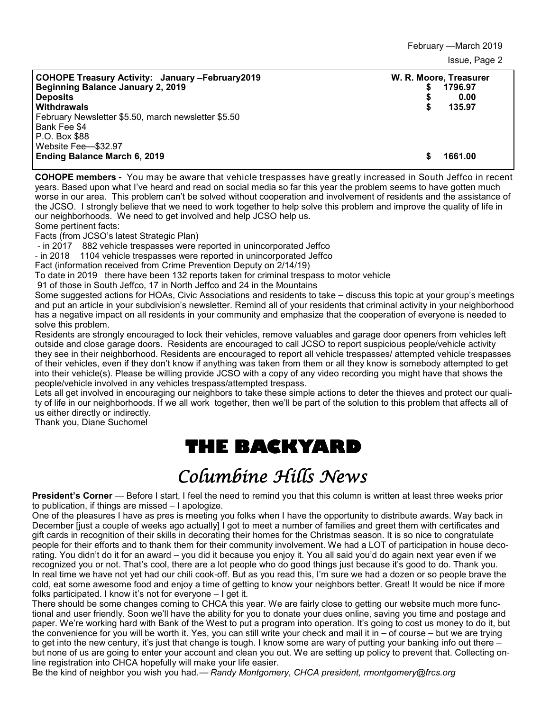February —March 2019 Issue, Page 2

| <b>COHOPE Treasury Activity: January -February 2019</b><br>Beginning Balance January 2, 2019<br><b>Deposits</b><br>Withdrawals<br>February Newsletter \$5.50, march newsletter \$5.50<br>Bank Fee \$4 | S | W. R. Moore, Treasurer<br>1796.97<br>0.00<br>135.97 |
|-------------------------------------------------------------------------------------------------------------------------------------------------------------------------------------------------------|---|-----------------------------------------------------|
| P.O. Box \$88<br>Website Fee-\$32.97<br>Ending Balance March 6, 2019                                                                                                                                  | S | 1661.00                                             |

**COHOPE members -** You may be aware that vehicle trespasses have greatly increased in South Jeffco in recent years. Based upon what I've heard and read on social media so far this year the problem seems to have gotten much worse in our area. This problem can't be solved without cooperation and involvement of residents and the assistance of the JCSO. I strongly believe that we need to work together to help solve this problem and improve the quality of life in our neighborhoods. We need to get involved and help JCSO help us. Some pertinent facts:

Facts (from JCSO's latest Strategic Plan)

- in 2017 882 vehicle trespasses were reported in unincorporated Jeffco

- in 2018 1104 vehicle trespasses were reported in unincorporated Jeffco

Fact (information received from Crime Prevention Deputy on 2/14/19)

To date in 2019 there have been 132 reports taken for criminal trespass to motor vehicle

91 of those in South Jeffco, 17 in North Jeffco and 24 in the Mountains

Some suggested actions for HOAs, Civic Associations and residents to take – discuss this topic at your group's meetings and put an article in your subdivision's newsletter. Remind all of your residents that criminal activity in your neighborhood has a negative impact on all residents in your community and emphasize that the cooperation of everyone is needed to solve this problem.

Residents are strongly encouraged to lock their vehicles, remove valuables and garage door openers from vehicles left outside and close garage doors. Residents are encouraged to call JCSO to report suspicious people/vehicle activity they see in their neighborhood. Residents are encouraged to report all vehicle trespasses/ attempted vehicle trespasses of their vehicles, even if they don't know if anything was taken from them or all they know is somebody attempted to get into their vehicle(s). Please be willing provide JCSO with a copy of any video recording you might have that shows the people/vehicle involved in any vehicles trespass/attempted trespass.

Lets all get involved in encouraging our neighbors to take these simple actions to deter the thieves and protect our quality of life in our neighborhoods. If we all work together, then we'll be part of the solution to this problem that affects all of us either directly or indirectly.

Thank you, Diane Suchomel

## **THE BACKYARD**

# Columbine Hills News

**President's Corner** — Before I start, I feel the need to remind you that this column is written at least three weeks prior to publication, if things are missed – I apologize.

One of the pleasures I have as pres is meeting you folks when I have the opportunity to distribute awards. Way back in December [just a couple of weeks ago actually] I got to meet a number of families and greet them with certificates and gift cards in recognition of their skills in decorating their homes for the Christmas season. It is so nice to congratulate people for their efforts and to thank them for their community involvement. We had a LOT of participation in house decorating. You didn't do it for an award – you did it because you enjoy it. You all said you'd do again next year even if we recognized you or not. That's cool, there are a lot people who do good things just because it's good to do. Thank you. In real time we have not yet had our chili cook-off. But as you read this, I'm sure we had a dozen or so people brave the cold, eat some awesome food and enjoy a time of getting to know your neighbors better. Great! It would be nice if more folks participated. I know it's not for everyone – I get it.

There should be some changes coming to CHCA this year. We are fairly close to getting our website much more functional and user friendly. Soon we'll have the ability for you to donate your dues online, saving you time and postage and paper. We're working hard with Bank of the West to put a program into operation. It's going to cost us money to do it, but the convenience for you will be worth it. Yes, you can still write your check and mail it in – of course – but we are trying to get into the new century, it's just that change is tough. I know some are wary of putting your banking info out there – but none of us are going to enter your account and clean you out. We are setting up policy to prevent that. Collecting online registration into CHCA hopefully will make your life easier.

Be the kind of neighbor you wish you had.— *Randy Montgomery, CHCA president, rmontgomery@frcs.org*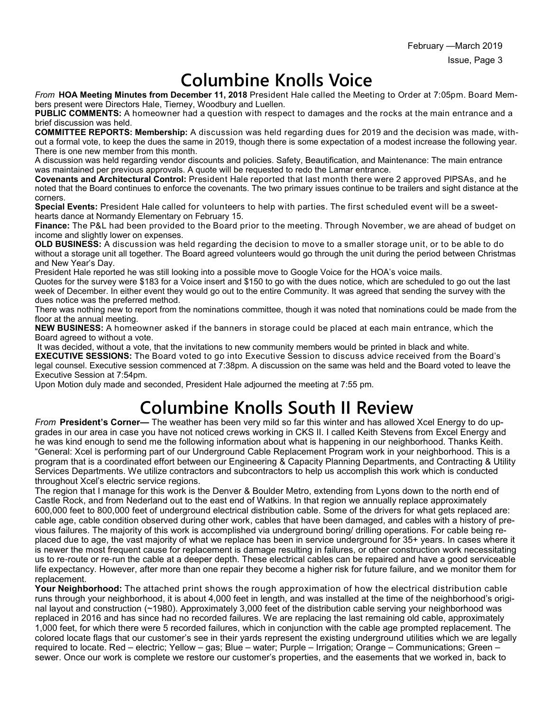## **Columbine Knolls Voice**

*From* **HOA Meeting Minutes from December 11, 2018** President Hale called the Meeting to Order at 7:05pm. Board Members present were Directors Hale, Tierney, Woodbury and Luellen.

**PUBLIC COMMENTS:** A homeowner had a question with respect to damages and the rocks at the main entrance and a brief discussion was held.

**COMMITTEE REPORTS: Membership:** A discussion was held regarding dues for 2019 and the decision was made, without a formal vote, to keep the dues the same in 2019, though there is some expectation of a modest increase the following year. There is one new member from this month.

A discussion was held regarding vendor discounts and policies. Safety, Beautification, and Maintenance: The main entrance was maintained per previous approvals. A quote will be requested to redo the Lamar entrance.

**Covenants and Architectural Control:** President Hale reported that last month there were 2 approved PIPSAs, and he noted that the Board continues to enforce the covenants. The two primary issues continue to be trailers and sight distance at the corners.

**Special Events:** President Hale called for volunteers to help with parties. The first scheduled event will be a sweethearts dance at Normandy Elementary on February 15.

**Finance:** The P&L had been provided to the Board prior to the meeting. Through November, we are ahead of budget on income and slightly lower on expenses.

**OLD BUSINESS:** A discussion was held regarding the decision to move to a smaller storage unit, or to be able to do without a storage unit all together. The Board agreed volunteers would go through the unit during the period between Christmas and New Year's Day.

President Hale reported he was still looking into a possible move to Google Voice for the HOA's voice mails.

Quotes for the survey were \$183 for a Voice insert and \$150 to go with the dues notice, which are scheduled to go out the last week of December. In either event they would go out to the entire Community. It was agreed that sending the survey with the dues notice was the preferred method.

There was nothing new to report from the nominations committee, though it was noted that nominations could be made from the floor at the annual meeting.

**NEW BUSINESS:** A homeowner asked if the banners in storage could be placed at each main entrance, which the Board agreed to without a vote.

 It was decided, without a vote, that the invitations to new community members would be printed in black and white. **EXECUTIVE SESSIONS:** The Board voted to go into Executive Session to discuss advice received from the Board's

legal counsel. Executive session commenced at 7:38pm. A discussion on the same was held and the Board voted to leave the Executive Session at 7:54pm.

Upon Motion duly made and seconded, President Hale adjourned the meeting at 7:55 pm.

# **Columbine Knolls South II Review**

*From* **President's Corner—** The weather has been very mild so far this winter and has allowed Xcel Energy to do upgrades in our area in case you have not noticed crews working in CKS II. I called Keith Stevens from Excel Energy and he was kind enough to send me the following information about what is happening in our neighborhood. Thanks Keith. "General: Xcel is performing part of our Underground Cable Replacement Program work in your neighborhood. This is a program that is a coordinated effort between our Engineering & Capacity Planning Departments, and Contracting & Utility Services Departments. We utilize contractors and subcontractors to help us accomplish this work which is conducted throughout Xcel's electric service regions.

The region that I manage for this work is the Denver & Boulder Metro, extending from Lyons down to the north end of Castle Rock, and from Nederland out to the east end of Watkins. In that region we annually replace approximately 600,000 feet to 800,000 feet of underground electrical distribution cable. Some of the drivers for what gets replaced are: cable age, cable condition observed during other work, cables that have been damaged, and cables with a history of previous failures. The majority of this work is accomplished via underground boring/ drilling operations. For cable being replaced due to age, the vast majority of what we replace has been in service underground for 35+ years. In cases where it is newer the most frequent cause for replacement is damage resulting in failures, or other construction work necessitating us to re-route or re-run the cable at a deeper depth. These electrical cables can be repaired and have a good serviceable life expectancy. However, after more than one repair they become a higher risk for future failure, and we monitor them for replacement.

**Your Neighborhood:** The attached print shows the rough approximation of how the electrical distribution cable runs through your neighborhood, it is about 4,000 feet in length, and was installed at the time of the neighborhood's original layout and construction (~1980). Approximately 3,000 feet of the distribution cable serving your neighborhood was replaced in 2016 and has since had no recorded failures. We are replacing the last remaining old cable, approximately 1,000 feet, for which there were 5 recorded failures, which in conjunction with the cable age prompted replacement. The colored locate flags that our customer's see in their yards represent the existing underground utilities which we are legally required to locate. Red – electric; Yellow – gas; Blue – water; Purple – Irrigation; Orange – Communications; Green – sewer. Once our work is complete we restore our customer's properties, and the easements that we worked in, back to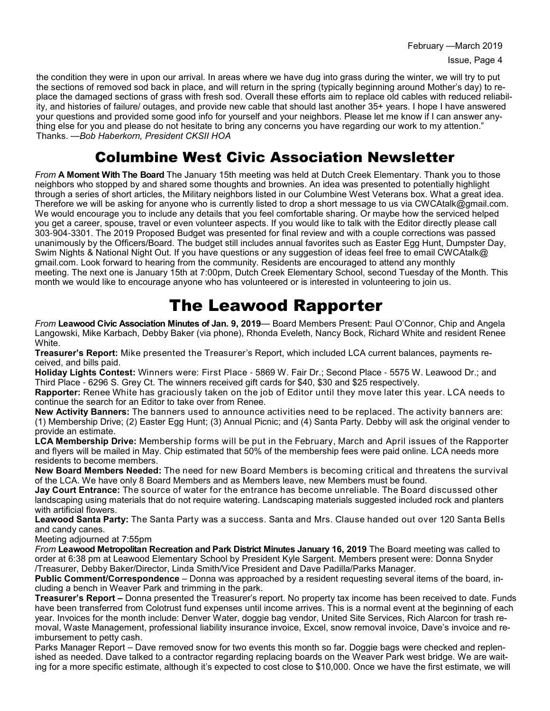February —March 2019 Issue, Page 4

the condition they were in upon our arrival. In areas where we have dug into grass during the winter, we will try to put the sections of removed sod back in place, and will return in the spring (typically beginning around Mother's day) to replace the damaged sections of grass with fresh sod. Overall these efforts aim to replace old cables with reduced reliability, and histories of failure/ outages, and provide new cable that should last another 35+ years. I hope I have answered your questions and provided some good info for yourself and your neighbors. Please let me know if I can answer anything else for you and please do not hesitate to bring any concerns you have regarding our work to my attention." Thanks. —*Bob Haberkorn, President CKSII HOA*

### Columbine West Civic Association Newsletter

*From* **A Moment With The Board** The January 15th meeting was held at Dutch Creek Elementary. Thank you to those neighbors who stopped by and shared some thoughts and brownies. An idea was presented to potentially highlight through a series of short articles, the Military neighbors listed in our Columbine West Veterans box. What a great idea. Therefore we will be asking for anyone who is currently listed to drop a short message to us via CWCAtalk@gmail.com. We would encourage you to include any details that you feel comfortable sharing. Or maybe how the serviced helped you get a career, spouse, travel or even volunteer aspects. If you would like to talk with the Editor directly please call 303-904-3301. The 2019 Proposed Budget was presented for final review and with a couple corrections was passed unanimously by the Officers/Board. The budget still includes annual favorites such as Easter Egg Hunt, Dumpster Day, Swim Nights & National Night Out. If you have questions or any suggestion of ideas feel free to email CWCAtalk@ gmail.com. Look forward to hearing from the community. Residents are encouraged to attend any monthly meeting. The next one is January 15th at 7:00pm, Dutch Creek Elementary School, second Tuesday of the Month. This month we would like to encourage anyone who has volunteered or is interested in volunteering to join us.

## The Leawood Rapporter

*From* **Leawood Civic Association Minutes of Jan. 9, 2019**— Board Members Present: Paul O'Connor, Chip and Angela Langowski, Mike Karbach, Debby Baker (via phone), Rhonda Eveleth, Nancy Bock, Richard White and resident Renee White.

**Treasurer's Report:** Mike presented the Treasurer's Report, which included LCA current balances, payments received, and bills paid.

**Holiday Lights Contest:** Winners were: First Place - 5869 W. Fair Dr.; Second Place - 5575 W. Leawood Dr.; and Third Place - 6296 S. Grey Ct. The winners received gift cards for \$40, \$30 and \$25 respectively.

**Rapporter:** Renee White has graciously taken on the job of Editor until they move later this year. LCA needs to continue the search for an Editor to take over from Renee.

**New Activity Banners:** The banners used to announce activities need to be replaced. The activity banners are: (1) Membership Drive; (2) Easter Egg Hunt; (3) Annual Picnic; and (4) Santa Party. Debby will ask the original vender to provide an estimate.

**LCA Membership Drive:** Membership forms will be put in the February, March and April issues of the Rapporter and flyers will be mailed in May. Chip estimated that 50% of the membership fees were paid online. LCA needs more residents to become members.

**New Board Members Needed:** The need for new Board Members is becoming critical and threatens the survival of the LCA. We have only 8 Board Members and as Members leave, new Members must be found.

**Jay Court Entrance:** The source of water for the entrance has become unreliable. The Board discussed other landscaping using materials that do not require watering. Landscaping materials suggested included rock and planters with artificial flowers.

**Leawood Santa Party:** The Santa Party was a success. Santa and Mrs. Clause handed out over 120 Santa Bells and candy canes.

Meeting adjourned at 7:55pm

*From* **Leawood Metropolitan Recreation and Park District Minutes January 16, 2019** The Board meeting was called to order at 6:38 pm at Leawood Elementary School by President Kyle Sargent. Members present were: Donna Snyder /Treasurer, Debby Baker/Director, Linda Smith/Vice President and Dave Padilla/Parks Manager.

**Public Comment/Correspondence** – Donna was approached by a resident requesting several items of the board, including a bench in Weaver Park and trimming in the park.

**Treasurer's Report –** Donna presented the Treasurer's report. No property tax income has been received to date. Funds have been transferred from Colotrust fund expenses until income arrives. This is a normal event at the beginning of each year. Invoices for the month include: Denver Water, doggie bag vendor, United Site Services, Rich Alarcon for trash removal, Waste Management, professional liability insurance invoice, Excel, snow removal invoice, Dave's invoice and reimbursement to petty cash.

Parks Manager Report – Dave removed snow for two events this month so far. Doggie bags were checked and replenished as needed. Dave talked to a contractor regarding replacing boards on the Weaver Park west bridge. We are waiting for a more specific estimate, although it's expected to cost close to \$10,000. Once we have the first estimate, we will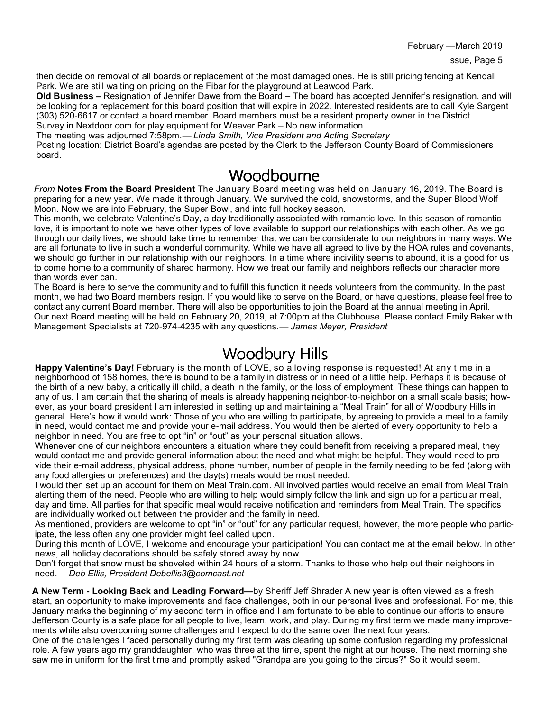February —March 2019

then decide on removal of all boards or replacement of the most damaged ones. He is still pricing fencing at Kendall Park. We are still waiting on pricing on the Fibar for the playground at Leawood Park.

**Old Business –** Resignation of Jennifer Dawe from the Board – The board has accepted Jennifer's resignation, and will be looking for a replacement for this board position that will expire in 2022. Interested residents are to call Kyle Sargent (303) 520-6617 or contact a board member. Board members must be a resident property owner in the District.

Survey in Nextdoor.com for play equipment for Weaver Park – No new information.

The meeting was adjourned 7:58pm.— *Linda Smith, Vice President and Acting Secretary* Posting location: District Board's agendas are posted by the Clerk to the Jefferson County Board of Commissioners board.

### Woodbourne

*From* **Notes From the Board President** The January Board meeting was held on January 16, 2019. The Board is preparing for a new year. We made it through January. We survived the cold, snowstorms, and the Super Blood Wolf Moon. Now we are into February, the Super Bowl, and into full hockey season.

This month, we celebrate Valentine's Day, a day traditionally associated with romantic love. In this season of romantic love, it is important to note we have other types of love available to support our relationships with each other. As we go through our daily lives, we should take time to remember that we can be considerate to our neighbors in many ways. We are all fortunate to live in such a wonderful community. While we have all agreed to live by the HOA rules and covenants, we should go further in our relationship with our neighbors. In a time where incivility seems to abound, it is a good for us to come home to a community of shared harmony. How we treat our family and neighbors reflects our character more than words ever can.

The Board is here to serve the community and to fulfill this function it needs volunteers from the community. In the past month, we had two Board members resign. If you would like to serve on the Board, or have questions, please feel free to contact any current Board member. There will also be opportunities to join the Board at the annual meeting in April. Our next Board meeting will be held on February 20, 2019, at 7:00pm at the Clubhouse. Please contact Emily Baker with Management Specialists at 720-974-4235 with any questions.— *James Meyer, President*

### Woodbury Hills

**Happy Valentine's Day!** February is the month of LOVE, so a loving response is requested! At any time in a neighborhood of 158 homes, there is bound to be a family in distress or in need of a little help. Perhaps it is because of the birth of a new baby, a critically ill child, a death in the family, or the loss of employment. These things can happen to any of us. I am certain that the sharing of meals is already happening neighbor-to-neighbor on a small scale basis; however, as your board president I am interested in setting up and maintaining a "Meal Train" for all of Woodbury Hills in general. Here's how it would work: Those of you who are willing to participate, by agreeing to provide a meal to a family in need, would contact me and provide your e-mail address. You would then be alerted of every opportunity to help a neighbor in need. You are free to opt "in" or "out" as your personal situation allows.

Whenever one of our neighbors encounters a situation where they could benefit from receiving a prepared meal, they would contact me and provide general information about the need and what might be helpful. They would need to provide their e-mail address, physical address, phone number, number of people in the family needing to be fed (along with any food allergies or preferences) and the day(s) meals would be most needed.

I would then set up an account for them on Meal Train.com. All involved parties would receive an email from Meal Train alerting them of the need. People who are willing to help would simply follow the link and sign up for a particular meal, day and time. All parties for that specific meal would receive notification and reminders from Meal Train. The specifics are individually worked out between the provider and the family in need.

As mentioned, providers are welcome to opt "in" or "out" for any particular request, however, the more people who participate, the less often any one provider might feel called upon.

During this month of LOVE, I welcome and encourage your participation! You can contact me at the email below. In other news, all holiday decorations should be safely stored away by now.

Don't forget that snow must be shoveled within 24 hours of a storm. Thanks to those who help out their neighbors in need. —*Deb Ellis, President Debellis3@comcast.net*

**A New Term - Looking Back and Leading Forward—**by Sheriff Jeff Shrader A new year is often viewed as a fresh start, an opportunity to make improvements and face challenges, both in our personal lives and professional. For me, this January marks the beginning of my second term in office and I am fortunate to be able to continue our efforts to ensure Jefferson County is a safe place for all people to live, learn, work, and play. During my first term we made many improvements while also overcoming some challenges and I expect to do the same over the next four years.

One of the challenges I faced personally during my first term was clearing up some confusion regarding my professional role. A few years ago my granddaughter, who was three at the time, spent the night at our house. The next morning she saw me in uniform for the first time and promptly asked "Grandpa are you going to the circus?" So it would seem.